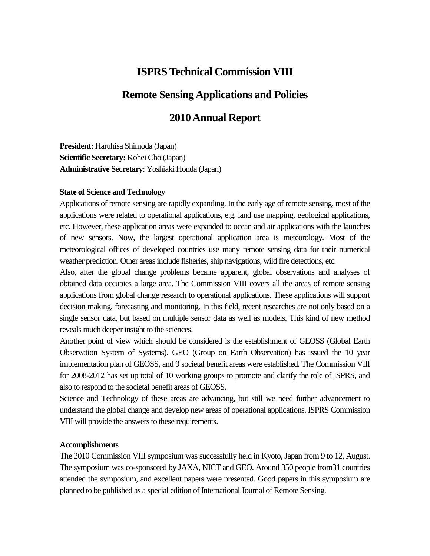# **ISPRS Technical Commission VIII**

# **Remote Sensing Applications and Policies**

# **2010 Annual Report**

**President:** Haruhisa Shimoda (Japan) **Scientific Secretary:** Kohei Cho (Japan) **Administrative Secretary**: Yoshiaki Honda (Japan)

#### **State of Science and Technology**

Applications of remote sensing are rapidly expanding. In the early age of remote sensing, most of the applications were related to operational applications, e.g. land use mapping, geological applications, etc. However, these application areas were expanded to ocean and air applications with the launches of new sensors. Now, the largest operational application area is meteorology. Most of the meteorological offices of developed countries use many remote sensing data for their numerical weather prediction. Other areas include fisheries, ship navigations, wild fire detections, etc.

Also, after the global change problems became apparent, global observations and analyses of obtained data occupies a large area. The Commission VIII covers all the areas of remote sensing applications from global change research to operational applications. These applications will support decision making, forecasting and monitoring. In this field, recent researches are not only based on a single sensor data, but based on multiple sensor data as well as models. This kind of new method reveals much deeper insight to the sciences.

Another point of view which should be considered is the establishment of GEOSS (Global Earth Observation System of Systems). GEO (Group on Earth Observation) has issued the 10 year implementation plan of GEOSS, and 9 societal benefit areas were established. The Commission VIII for 2008-2012 has set up total of 10 working groups to promote and clarify the role of ISPRS, and also to respond to the societal benefit areas of GEOSS.

Science and Technology of these areas are advancing, but still we need further advancement to understand the global change and develop new areas of operational applications. ISPRS Commission VIII will provide the answers to these requirements.

#### **Accomplishments**

The 2010 Commission VIII symposium was successfully held in Kyoto, Japan from 9 to 12, August. The symposium was co-sponsored by JAXA, NICT and GEO. Around 350 people from31 countries attended the symposium, and excellent papers were presented. Good papers in this symposium are planned to be published as a special edition of International Journal of Remote Sensing.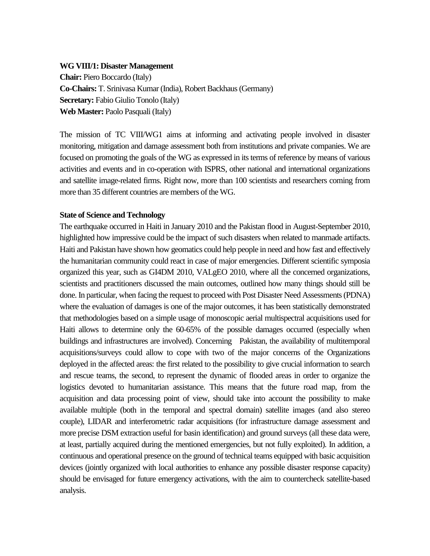#### **WG VIII/1: Disaster Management**

**Chair:** Piero Boccardo (Italy) **Co-Chairs:** T. Srinivasa Kumar (India), Robert Backhaus (Germany) **Secretary:** Fabio Giulio Tonolo (Italy) **Web Master:** Paolo Pasquali (Italy)

The mission of TC VIII/WG1 aims at informing and activating people involved in disaster monitoring, mitigation and damage assessment both from institutions and private companies. We are focused on promoting the goals of the WG as expressed in its terms of reference by means of various activities and events and in co-operation with ISPRS, other national and international organizations and satellite image-related firms. Right now, more than 100 scientists and researchers coming from more than 35 different countries are members of the WG.

#### **State of Science and Technology**

The earthquake occurred in Haiti in January 2010 and the Pakistan flood in August-September 2010, highlighted how impressive could be the impact of such disasters when related to manmade artifacts. Haiti and Pakistan have shown how geomatics could help people in need and how fast and effectively the humanitarian community could react in case of major emergencies. Different scientific symposia organized this year, such as GI4DM 2010, VALgEO 2010, where all the concerned organizations, scientists and practitioners discussed the main outcomes, outlined how many things should still be done. In particular, when facing the request to proceed with Post Disaster Need Assessments (PDNA) where the evaluation of damages is one of the major outcomes, it has been statistically demonstrated that methodologies based on a simple usage of monoscopic aerial multispectral acquisitions used for Haiti allows to determine only the 60-65% of the possible damages occurred (especially when buildings and infrastructures are involved). Concerning Pakistan, the availability of multitemporal acquisitions/surveys could allow to cope with two of the major concerns of the Organizations deployed in the affected areas: the first related to the possibility to give crucial information to search and rescue teams, the second, to represent the dynamic of flooded areas in order to organize the logistics devoted to humanitarian assistance. This means that the future road map, from the acquisition and data processing point of view, should take into account the possibility to make available multiple (both in the temporal and spectral domain) satellite images (and also stereo couple), LIDAR and interferometric radar acquisitions (for infrastructure damage assessment and more precise DSM extraction useful for basin identification) and ground surveys (all these data were, at least, partially acquired during the mentioned emergencies, but not fully exploited). In addition, a continuous and operational presence on the ground of technical teams equipped with basic acquisition devices (jointly organized with local authorities to enhance any possible disaster response capacity) should be envisaged for future emergency activations, with the aim to countercheck satellite-based analysis.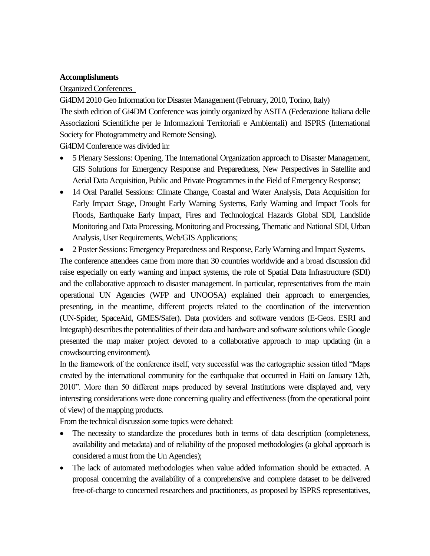#### **Accomplishments**

#### Organized Conferences

Gi4DM 2010 Geo Information for Disaster Management (February, 2010, Torino, Italy) The sixth edition of Gi4DM Conference was jointly organized by ASITA (Federazione Italiana delle Associazioni Scientifiche per le Informazioni Territoriali e Ambientali) and ISPRS (International Society for Photogrammetry and Remote Sensing). Gi4DM Conference was divided in:

- 5 Plenary Sessions: Opening, The International Organization approach to Disaster Management, GIS Solutions for Emergency Response and Preparedness, New Perspectives in Satellite and Aerial Data Acquisition, Public and Private Programmes in the Field of Emergency Response;
- 14 Oral Parallel Sessions: Climate Change, Coastal and Water Analysis, Data Acquisition for Early Impact Stage, Drought Early Warning Systems, Early Warning and Impact Tools for Floods, Earthquake Early Impact, Fires and Technological Hazards Global SDI, Landslide Monitoring and Data Processing, Monitoring and Processing, Thematic and National SDI, Urban Analysis, User Requirements, Web/GIS Applications;
- 2 Poster Sessions: Emergency Preparedness and Response, Early Warning and Impact Systems.

The conference attendees came from more than 30 countries worldwide and a broad discussion did raise especially on early warning and impact systems, the role of Spatial Data Infrastructure (SDI) and the collaborative approach to disaster management. In particular, representatives from the main operational UN Agencies (WFP and UNOOSA) explained their approach to emergencies, presenting, in the meantime, different projects related to the coordination of the intervention (UN-Spider, SpaceAid, GMES/Safer). Data providers and software vendors (E-Geos. ESRI and Integraph) describes the potentialities of their data and hardware and software solutions while Google presented the map maker project devoted to a collaborative approach to map updating (in a crowdsourcing environment).

In the framework of the conference itself, very successful was the cartographic session titled "Maps created by the international community for the earthquake that occurred in Haiti on January 12th, 2010". More than 50 different maps produced by several Institutions were displayed and, very interesting considerations were done concerning quality and effectiveness (from the operational point of view) of the mapping products.

From the technical discussion some topics were debated:

- The necessity to standardize the procedures both in terms of data description (completeness, availability and metadata) and of reliability of the proposed methodologies (a global approach is considered a must from the Un Agencies);
- The lack of automated methodologies when value added information should be extracted. A proposal concerning the availability of a comprehensive and complete dataset to be delivered free-of-charge to concerned researchers and practitioners, as proposed by ISPRS representatives,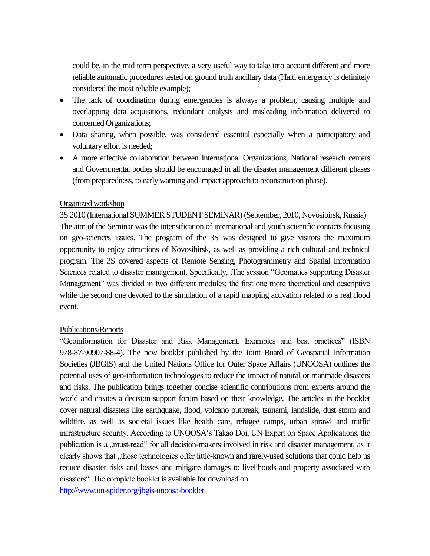could be, in the mid term perspective, a very useful way to take into account different and more reliable automatic procedures tested on ground truth ancillary data (Haiti emergency is definitely considered the most reliable example);

- The lack of coordination during emergencies is always a problem, causing multiple and overlapping data acquisitions, redundant analysis and misleading information delivered to concerned Organizations;
- Data sharing, when possible, was considered essential especially when a participatory and voluntary effort is needed;
- A more effective collaboration between International Organizations, National research centers and Governmental bodies should be encouraged in all the disaster management different phases (from preparedness, to early warning and impact approach to reconstruction phase).

#### Organized workshop

3S 2010 (International SUMMER STUDENT SEMINAR) (September, 2010, Novosibirsk, Russia) The aim of the Seminar was the intensification of international and youth scientific contacts focusing on geo-sciences issues. The program of the 3S was designed to give visitors the maximum opportunity to enjoy attractions of Novosibirsk, as well as providing a rich cultural and technical program. The 3S covered aspects of Remote Sensing, Photogrammetry and Spatial Information Sciences related to disaster management. Specifically, tThe session "Geomatics supporting Disaster Management" was divided in two different modules; the first one more theoretical and descriptive while the second one devoted to the simulation of a rapid mapping activation related to a real flood event.

#### Publications/Reports

"Geoinformation for Disaster and Risk Management. Examples and best practices" (ISBN 978-87-90907-88-4). The new booklet published by the Joint Board of Geospatial Information Societies (JBGIS) and the United Nations Office for Outer Space Affairs (UNOOSA) outlines the potential uses of geo-information technologies to reduce the impact of natural or manmade disasters and risks. The publication brings together concise scientific contributions from experts around the world and creates a decision support forum based on their knowledge. The articles in the booklet cover natural disasters like earthquake, flood, volcano outbreak, tsunami, landslide, dust storm and wildfire, as well as societal issues like health care, refugee camps, urban sprawl and traffic infrastructure security. According to UNOOSA"s Takao Doi, UN Expert on Space Applications, the publication is a , must-read for all decision-makers involved in risk and disaster management, as it clearly shows that , those technologies offer little-known and rarely-used solutions that could help us reduce disaster risks and losses and mitigate damages to livelihoods and property associated with disasters". The complete booklet is available for download on

<http://www.un-spider.org/jbgis-unoosa-booklet>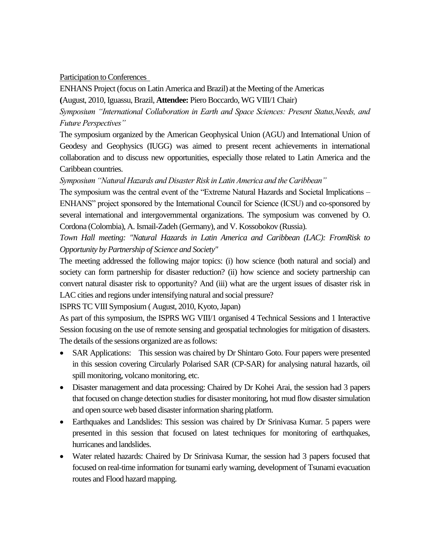Participation to Conferences

ENHANS Project (focus on Latin America and Brazil) at the Meeting of the Americas

**(**August, 2010, Iguassu, Brazil, **Attendee:** Piero Boccardo, WG VIII/1 Chair)

*Symposium "International Collaboration in Earth and Space Sciences: Present Status,Needs, and Future Perspectives"*

The symposium organized by the American Geophysical Union (AGU) and International Union of Geodesy and Geophysics (IUGG) was aimed to present recent achievements in international collaboration and to discuss new opportunities, especially those related to Latin America and the Caribbean countries.

*Symposium "Natural Hazards and Disaster Risk in Latin America and the Caribbean"*

The symposium was the central event of the "Extreme Natural Hazards and Societal Implications – ENHANS" project sponsored by the International Council for Science (ICSU) and co-sponsored by several international and intergovernmental organizations. The symposium was convened by O. Cordona (Colombia), A. Ismail-Zadeh (Germany), and V. Kossobokov (Russia).

*Town Hall meeting: "Natural Hazards in Latin America and Caribbean (LAC): FromRisk to Opportunity by Partnership of Science and Society"*

The meeting addressed the following major topics: (i) how science (both natural and social) and society can form partnership for disaster reduction? (ii) how science and society partnership can convert natural disaster risk to opportunity? And (iii) what are the urgent issues of disaster risk in LAC cities and regions under intensifying natural and social pressure?

ISPRS TC VIII Symposium ( August, 2010, Kyoto, Japan)

As part of this symposium, the ISPRS WG VIII/1 organised 4 Technical Sessions and 1 Interactive Session focusing on the use of remote sensing and geospatial technologies for mitigation of disasters. The details of the sessions organized are as follows:

- SAR Applications: This session was chaired by Dr Shintaro Goto. Four papers were presented in this session covering Circularly Polarised SAR (CP-SAR) for analysing natural hazards, oil spill monitoring, volcano monitoring, etc.
- Disaster management and data processing: Chaired by Dr Kohei Arai, the session had 3 papers that focused on change detection studies for disaster monitoring, hot mud flow disaster simulation and open source web based disaster information sharing platform.
- Earthquakes and Landslides: This session was chaired by Dr Srinivasa Kumar. 5 papers were presented in this session that focused on latest techniques for monitoring of earthquakes, hurricanes and landslides.
- Water related hazards: Chaired by Dr Srinivasa Kumar, the session had 3 papers focused that focused on real-time information for tsunami early warning, development of Tsunami evacuation routes and Flood hazard mapping.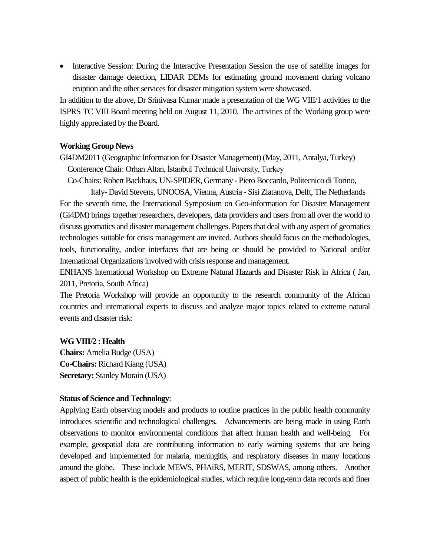• Interactive Session: During the Interactive Presentation Session the use of satellite images for disaster damage detection, LIDAR DEMs for estimating ground movement during volcano eruption and the other services for disaster mitigation system were showcased.

In addition to the above, Dr Srinivasa Kumar made a presentation of the WG VIII/1 activities to the ISPRS TC VIII Board meeting held on August 11, 2010. The activities of the Working group were highly appreciated by the Board.

#### **Working Group News**

GI4DM2011 (Geographic Information for Disaster Management) (May, 2011, Antalya, Turkey) Conference Chair: Orhan Altan, İstanbul Technical University, Turkey

Co-Chairs: Robert Backhaus, UN-SPIDER, Germany - Piero Boccardo, Politecnico di Torino,

Italy- David Stevens, UNOOSA, Vienna, Austria - Sisi Zlatanova, Delft, The Netherlands For the seventh time, the International Symposium on Geo-information for Disaster Management (Gi4DM) brings together researchers, developers, data providers and users from all over the world to discuss geomatics and disaster management challenges. Papers that deal with any aspect of geomatics technologies suitable for crisis management are invited. Authors should focus on the methodologies, tools, functionality, and/or interfaces that are being or should be provided to National and/or International Organizations involved with crisis response and management.

ENHANS International Workshop on Extreme Natural Hazards and Disaster Risk in Africa ( Jan, 2011, Pretoria, South Africa)

The Pretoria Workshop will provide an opportunity to the research community of the African countries and international experts to discuss and analyze major topics related to extreme natural events and disaster risk:

#### **WG VIII/2 : Health**

**Chairs:** Amelia Budge (USA) **Co-Chairs:** Richard Kiang (USA) **Secretary:** Stanley Morain (USA)

#### **Status of Science and Technology**:

Applying Earth observing models and products to routine practices in the public health community introduces scientific and technological challenges. Advancements are being made in using Earth observations to monitor environmental conditions that affect human health and well-being. For example, geospatial data are contributing information to early warning systems that are being developed and implemented for malaria, meningitis, and respiratory diseases in many locations around the globe. These include MEWS, PHAiRS, MERIT, SDSWAS, among others. Another aspect of public health is the epidemiological studies, which require long-term data records and finer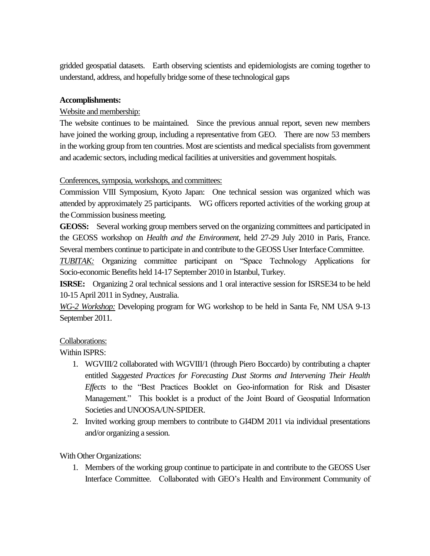gridded geospatial datasets. Earth observing scientists and epidemiologists are coming together to understand, address, and hopefully bridge some of these technological gaps

#### **Accomplishments:**

### Website and membership:

The website continues to be maintained. Since the previous annual report, seven new members have joined the working group, including a representative from GEO. There are now 53 members in the working group from ten countries. Most are scientists and medical specialists from government and academic sectors, including medical facilities at universities and government hospitals.

#### Conferences, symposia, workshops, and committees:

Commission VIII Symposium, Kyoto Japan: One technical session was organized which was attended by approximately 25 participants. WG officers reported activities of the working group at the Commission business meeting.

**GEOSS:** Several working group members served on the organizing committees and participated in the GEOSS workshop on *Health and the Environment*, held 27-29 July 2010 in Paris, France. Several members continue to participate in and contribute to the GEOSS User Interface Committee.

*TUBITAK:* Organizing committee participant on "Space Technology Applications for Socio-economic Benefits held 14-17 September 2010 in Istanbul, Turkey.

**ISRSE:** Organizing 2 oral technical sessions and 1 oral interactive session for ISRSE34 to be held 10-15 April 2011 in Sydney, Australia.

*WG-2 Workshop:* Developing program for WG workshop to be held in Santa Fe, NM USA 9-13 September 2011.

## Collaborations:

Within ISPRS:

- 1. WGVIII/2 collaborated with WGVIII/1 (through Piero Boccardo) by contributing a chapter entitled *Suggested Practices for Forecasting Dust Storms and Intervening Their Health Effects* to the "Best Practices Booklet on Geo-information for Risk and Disaster Management." This booklet is a product of the Joint Board of Geospatial Information Societies and UNOOSA/UN-SPIDER.
- 2. Invited working group members to contribute to GI4DM 2011 via individual presentations and/or organizing a session.

## With Other Organizations:

1. Members of the working group continue to participate in and contribute to the GEOSS User Interface Committee. Collaborated with GEO"s Health and Environment Community of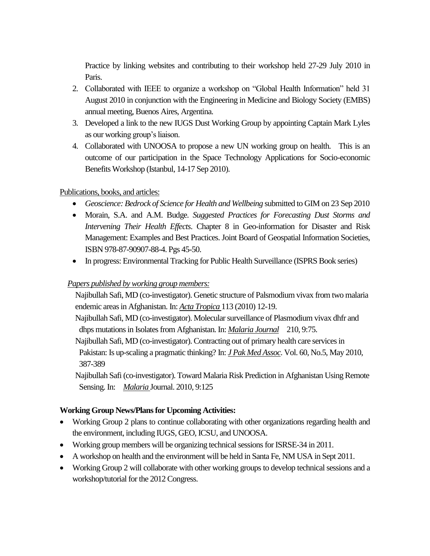Practice by linking websites and contributing to their workshop held 27-29 July 2010 in Paris.

- 2. Collaborated with IEEE to organize a workshop on "Global Health Information" held 31 August 2010 in conjunction with the Engineering in Medicine and Biology Society (EMBS) annual meeting, Buenos Aires, Argentina.
- 3. Developed a link to the new IUGS Dust Working Group by appointing Captain Mark Lyles as our working group"s liaison.
- 4. Collaborated with UNOOSA to propose a new UN working group on health. This is an outcome of our participation in the Space Technology Applications for Socio-economic Benefits Workshop (Istanbul, 14-17 Sep 2010).

## Publications, books, and articles:

- *Geoscience: Bedrock of Science for Health and Wellbeing* submitted to GIM on 23 Sep 2010
- Morain, S.A. and A.M. Budge. *Suggested Practices for Forecasting Dust Storms and Intervening Their Health Effects*. Chapter 8 in Geo-information for Disaster and Risk Management: Examples and Best Practices. Joint Board of Geospatial Information Societies, ISBN 978-87-90907-88-4. Pgs 45-50.
- In progress: Environmental Tracking for Public Health Surveillance (ISPRS Book series)

## *Papers published by working group members:*

Najibullah Safi, MD (co-investigator). Genetic structure of Palsmodium vivax from two malaria endemic areas in Afghanistan. In: *Acta Tropica* 113 (2010) 12-19.

Najibullah Safi, MD (co-investigator). Molecular surveillance of Plasmodium vivax dhfr and dhps mutations in Isolates from Afghanistan. In: *Malaria Journal* 210, 9:75.

Najibullah Safi, MD (co-investigator). Contracting out of primary health care services in Pakistan: Is up-scaling a pragmatic thinking? In: *J Pak Med Assoc*. Vol. 60, No.5, May 2010, 387-389

Najibullah Safi (co-investigator). Toward Malaria Risk Prediction in Afghanistan Using Remote Sensing. In: *Malaria* Journal. 2010, 9:125

## **Working Group News/Plans for Upcoming Activities:**

- Working Group 2 plans to continue collaborating with other organizations regarding health and the environment, including IUGS, GEO, ICSU, and UNOOSA.
- Working group members will be organizing technical sessions for ISRSE-34 in 2011.
- A workshop on health and the environment will be held in Santa Fe, NM USA in Sept 2011.
- Working Group 2 will collaborate with other working groups to develop technical sessions and a workshop/tutorial for the 2012 Congress.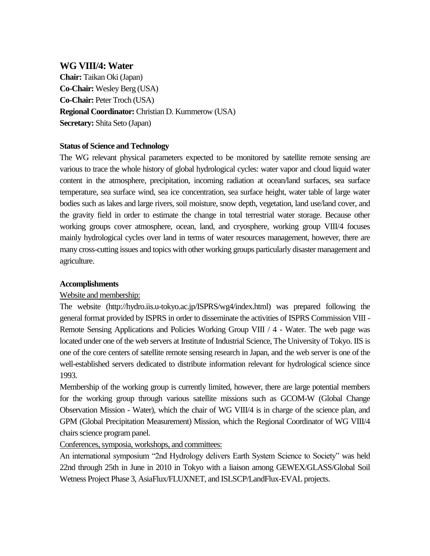## **WG VIII/4: Water**

**Chair:** Taikan Oki (Japan) **Co-Chair:** Wesley Berg (USA) **Co-Chair:** Peter Troch (USA) **Regional Coordinator:** Christian D. Kummerow (USA) **Secretary:** Shita Seto (Japan)

#### **Status of Science and Technology**

The WG relevant physical parameters expected to be monitored by satellite remote sensing are various to trace the whole history of global hydrological cycles: water vapor and cloud liquid water content in the atmosphere, precipitation, incoming radiation at ocean/land surfaces, sea surface temperature, sea surface wind, sea ice concentration, sea surface height, water table of large water bodies such as lakes and large rivers, soil moisture, snow depth, vegetation, land use/land cover, and the gravity field in order to estimate the change in total terrestrial water storage. Because other working groups cover atmosphere, ocean, land, and cryosphere, working group VIII/4 focuses mainly hydrological cycles over land in terms of water resources management, however, there are many cross-cutting issues and topics with other working groups particularly disaster management and agriculture.

#### **Accomplishments**

## Website and membership:

The website (http://hydro.iis.u-tokyo.ac.jp/ISPRS/wg4/index.html) was prepared following the general format provided by ISPRS in order to disseminate the activities of ISPRS Commission VIII - Remote Sensing Applications and Policies Working Group VIII / 4 - Water. The web page was located under one of the web servers at Institute of Industrial Science, The University of Tokyo. IIS is one of the core centers of satellite remote sensing research in Japan, and the web server is one of the well-established servers dedicated to distribute information relevant for hydrological science since 1993.

Membership of the working group is currently limited, however, there are large potential members for the working group through various satellite missions such as GCOM-W (Global Change Observation Mission - Water), which the chair of WG VIII/4 is in charge of the science plan, and GPM (Global Precipitation Measurement) Mission, which the Regional Coordinator of WG VIII/4 chairs science program panel.

Conferences, symposia, workshops, and committees:

An international symposium "2nd Hydrology delivers Earth System Science to Society" was held 22nd through 25th in June in 2010 in Tokyo with a liaison among GEWEX/GLASS/Global Soil Wetness Project Phase 3, AsiaFlux/FLUXNET, and ISLSCP/LandFlux-EVAL projects.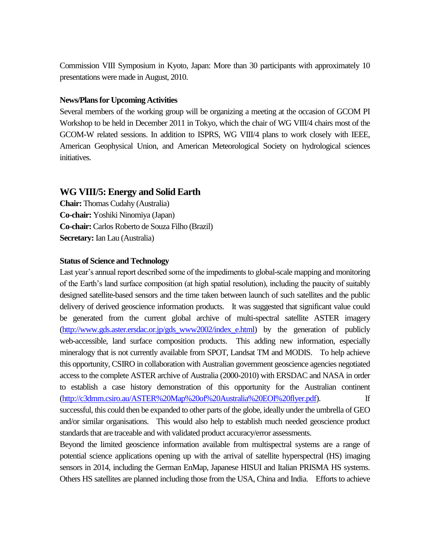Commission VIII Symposium in Kyoto, Japan: More than 30 participants with approximately 10 presentations were made in August, 2010.

#### **News/Plans for Upcoming Activities**

Several members of the working group will be organizing a meeting at the occasion of GCOM PI Workshop to be held in December 2011 in Tokyo, which the chair of WG VIII/4 chairs most of the GCOM-W related sessions. In addition to ISPRS, WG VIII/4 plans to work closely with IEEE, American Geophysical Union, and American Meteorological Society on hydrological sciences initiatives.

## **WG VIII/5: Energy and Solid Earth**

**Chair:** Thomas Cudahy (Australia) **Co-chair:** Yoshiki Ninomiya (Japan) **Co-chair:** Carlos Roberto de Souza Filho (Brazil) **Secretary:** Ian Lau (Australia)

#### **Status of Science and Technology**

Last year"s annual report described some of the impediments to global-scale mapping and monitoring of the Earth"s land surface composition (at high spatial resolution), including the paucity of suitably designed satellite-based sensors and the time taken between launch of such satellites and the public delivery of derived geoscience information products. It was suggested that significant value could be generated from the current global archive of multi-spectral satellite ASTER imagery [\(http://www.gds.aster.ersdac.or.jp/gds\\_www2002/index\\_e.html\)](http://www.gds.aster.ersdac.or.jp/gds_www2002/index_e.html) by the generation of publicly web-accessible, land surface composition products. This adding new information, especially mineralogy that is not currently available from SPOT, Landsat TM and MODIS. To help achieve this opportunity, CSIRO in collaboration with Australian government geoscience agencies negotiated access to the complete ASTER archive of Australia (2000-2010) with ERSDAC and NASA in order to establish a case history demonstration of this opportunity for the Australian continent [\(http://c3dmm.csiro.au/ASTER%20Map%20of%20Australia%20EOI%20flyer.pdf\)](http://c3dmm.csiro.au/ASTER%20Map%20of%20Australia%20EOI%20flyer.pdf). If successful, this could then be expanded to other parts of the globe, ideally under the umbrella of GEO and/or similar organisations. This would also help to establish much needed geoscience product standards that are traceable and with validated product accuracy/error assessments.

Beyond the limited geoscience information available from multispectral systems are a range of potential science applications opening up with the arrival of satellite hyperspectral (HS) imaging sensors in 2014, including the German EnMap, Japanese HISUI and Italian PRISMA HS systems. Others HS satellites are planned including those from the USA, China and India. Efforts to achieve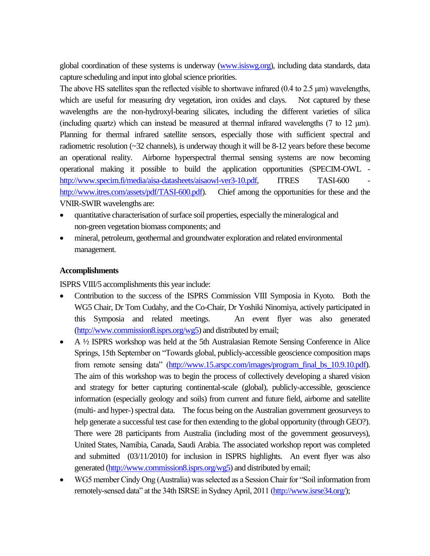global coordination of these systems is underway [\(www.isiswg.org\)](http://www.isiswg.org/), including data standards, data capture scheduling and input into global science priorities.

The above HS satellites span the reflected visible to shortwave infrared (0.4 to 2.5 μm) wavelengths, which are useful for measuring dry vegetation, iron oxides and clays. Not captured by these wavelengths are the non-hydroxyl-bearing silicates, including the different varieties of silica (including quartz) which can instead be measured at thermal infrared wavelengths (7 to 12 μm). Planning for thermal infrared satellite sensors, especially those with sufficient spectral and radiometric resolution (~32 channels), is underway though it will be 8-12 years before these become an operational reality. Airborne hyperspectral thermal sensing systems are now becoming operational making it possible to build the application opportunities (SPECIM-OWL [http://www.specim.fi/media/aisa-datasheets/aisaowl-ver3-10.pdf,](http://www.specim.fi/media/aisa-datasheets/aisaowl-ver3-10.pdf) ITRES TASI-600 [http://www.itres.com/assets/pdf/TASI-600.pdf\)](http://www.itres.com/assets/pdf/TASI-600.pdf). Chief among the opportunities for these and the VNIR-SWIR wavelengths are:

- quantitative characterisation of surface soil properties, especially the mineralogical and non-green vegetation biomass components; and
- mineral, petroleum, geothermal and groundwater exploration and related environmental management.

#### **Accomplishments**

ISPRS VIII/5 accomplishments this year include:

- Contribution to the success of the ISPRS Commission VIII Symposia in Kyoto. Both the WG5 Chair, Dr Tom Cudahy, and the Co-Chair, Dr Yoshiki Ninomiya, actively participated in this Symposia and related meetings. An event flyer was also generated [\(http://www.commission8.isprs.org/wg5\)](http://www.commission8.isprs.org/wg5) and distributed by email;
- A ½ ISPRS workshop was held at the 5th Australasian Remote Sensing Conference in Alice Springs, 15th September on "Towards global, publicly-accessible geoscience composition maps from remote sensing data" [\(http://www.15.arspc.com/images/program\\_final\\_bs\\_10.9.10.pdf\)](http://www.15.arspc.com/images/program_final_bs_10.9.10.pdf). The aim of this workshop was to begin the process of collectively developing a shared vision and strategy for better capturing continental-scale (global), publicly-accessible, geoscience information (especially geology and soils) from current and future field, airborne and satellite (multi- and hyper-) spectral data. The focus being on the Australian government geosurveys to help generate a successful test case for then extending to the global opportunity (through GEO?). There were 28 participants from Australia (including most of the government geosurveys), United States, Namibia, Canada, Saudi Arabia. The associated workshop report was completed and submitted (03/11/2010) for inclusion in ISPRS highlights. An event flyer was also generated [\(http://www.commission8.isprs.org/wg5\)](http://www.commission8.isprs.org/wg5) and distributed by email;
- WG5 member Cindy Ong (Australia) was selected as a Session Chair for "Soil information from remotely-sensed data" at the 34th ISRSE in Sydney April, 2011 [\(http://www.isrse34.org/\)](http://www.isrse34.org/);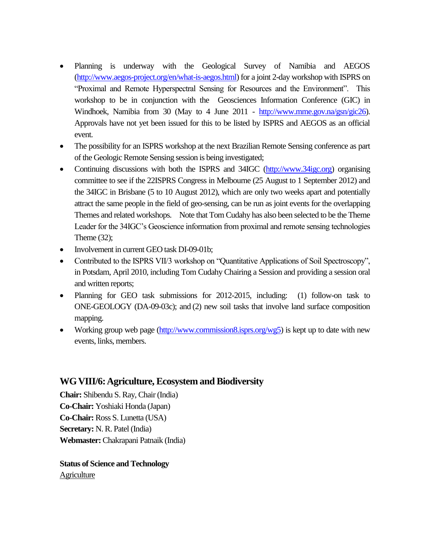- Planning is underway with the Geological Survey of Namibia and AEGOS [\(http://www.aegos-project.org/en/what-is-aegos.html\)](http://www.aegos-project.org/en/what-is-aegos.html) for a joint 2-day workshop with ISPRS on "Proximal and Remote Hyperspectral Sensing for Resources and the Environment". This workshop to be in conjunction with the Geosciences Information Conference (GIC) in Windhoek, Namibia from 30 (May to 4 June 2011 - [http://www.mme.gov.na/gsn/gic26\)](http://www.mme.gov.na/gsn/gic26). Approvals have not yet been issued for this to be listed by ISPRS and AEGOS as an official event.
- The possibility for an ISPRS workshop at the next Brazilian Remote Sensing conference as part of the Geologic Remote Sensing session is being investigated;
- Continuing discussions with both the ISPRS and 34IGC [\(http://www.34igc.org\)](http://www.34igc.org/) organising committee to see if the 22ISPRS Congress in Melbourne (25 August to 1 September 2012) and the 34IGC in Brisbane (5 to 10 August 2012), which are only two weeks apart and potentially attract the same people in the field of geo-sensing, can be run as joint events for the overlapping Themes and related workshops. Note that Tom Cudahy has also been selected to be the Theme Leader for the 34IGC"s Geoscience information from proximal and remote sensing technologies Theme (32);
- Involvement in current GEO task DI-09-01b;
- Contributed to the ISPRS VII/3 workshop on "Quantitative Applications of Soil Spectroscopy", in Potsdam, April 2010, including Tom Cudahy Chairing a Session and providing a session oral and written reports;
- Planning for GEO task submissions for 2012-2015, including: (1) follow-on task to ONE-GEOLOGY (DA-09-03c); and (2) new soil tasks that involve land surface composition mapping.
- Working group web page  $\frac{(\text{http://www.commission8.isprs.org/wg5})}{(\text{http://www.commission8.isprs.org/wg5})}$  is kept up to date with new events, links, members.

## **WG VIII/6: Agriculture, Ecosystem and Biodiversity**

**Chair:** Shibendu S. Ray, Chair (India) **Co-Chair:** Yoshiaki Honda (Japan) **Co-Chair:** Ross S. Lunetta (USA) **Secretary:** N. R. Patel (India) **Webmaster:**Chakrapani Patnaik (India)

**Status of Science and Technology Agriculture**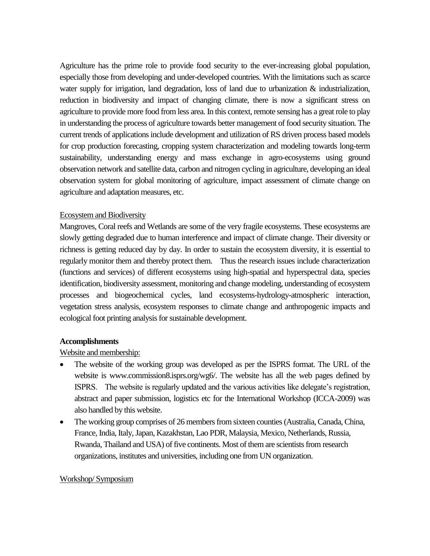Agriculture has the prime role to provide food security to the ever-increasing global population, especially those from developing and under-developed countries. With the limitations such as scarce water supply for irrigation, land degradation, loss of land due to urbanization & industrialization, reduction in biodiversity and impact of changing climate, there is now a significant stress on agriculture to provide more food from less area. In this context, remote sensing has a great role to play in understanding the process of agriculture towards better management of food security situation. The current trends of applications include development and utilization of RS driven process based models for crop production forecasting, cropping system characterization and modeling towards long-term sustainability, understanding energy and mass exchange in agro-ecosystems using ground observation network and satellite data, carbon and nitrogen cycling in agriculture, developing an ideal observation system for global monitoring of agriculture, impact assessment of climate change on agriculture and adaptation measures, etc.

#### Ecosystem and Biodiversity

Mangroves, Coral reefs and Wetlands are some of the very fragile ecosystems. These ecosystems are slowly getting degraded due to human interference and impact of climate change. Their diversity or richness is getting reduced day by day. In order to sustain the ecosystem diversity, it is essential to regularly monitor them and thereby protect them. Thus the research issues include characterization (functions and services) of different ecosystems using high-spatial and hyperspectral data, species identification, biodiversity assessment, monitoring and change modeling, understanding of ecosystem processes and biogeochemical cycles, land ecosystems-hydrology-atmospheric interaction, vegetation stress analysis, ecosystem responses to climate change and anthropogenic impacts and ecological foot printing analysis for sustainable development.

#### **Accomplishments**

#### Website and membership:

- The website of the working group was developed as per the ISPRS format. The URL of the website is www.commission8.isprs.org/wg6/. The website has all the web pages defined by ISPRS. The website is regularly updated and the various activities like delegate"s registration, abstract and paper submission, logistics etc for the International Workshop (ICCA-2009) was also handled by this website.
- The working group comprises of 26 members from sixteen counties (Australia, Canada, China, France, India, Italy, Japan, Kazakhstan, Lao PDR, Malaysia, Mexico, Netherlands, Russia, Rwanda, Thailand and USA) of five continents. Most of them are scientists from research organizations, institutes and universities, including one from UN organization.

#### Workshop/ Symposium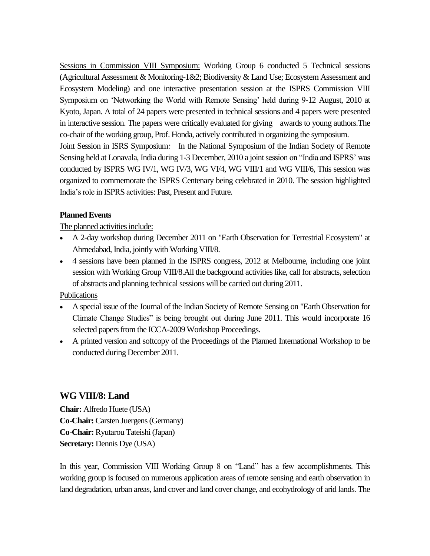Sessions in Commission VIII Symposium: Working Group 6 conducted 5 Technical sessions (Agricultural Assessment & Monitoring-1&2; Biodiversity & Land Use; Ecosystem Assessment and Ecosystem Modeling) and one interactive presentation session at the ISPRS Commission VIII Symposium on "Networking the World with Remote Sensing" held during 9-12 August, 2010 at Kyoto, Japan. A total of 24 papers were presented in technical sessions and 4 papers were presented in interactive session. The papers were critically evaluated for giving awards to young authors.The co-chair of the working group, Prof. Honda, actively contributed in organizing the symposium. Joint Session in ISRS Symposium*:* In the National Symposium of the Indian Society of Remote Sensing held at Lonavala, India during 1-3 December, 2010 a joint session on "India and ISPRS" was conducted by ISPRS WG IV/1, WG IV/3, WG VI/4, WG VIII/1 and WG VIII/6, This session was organized to commemorate the ISPRS Centenary being celebrated in 2010. The session highlighted India"s role in ISPRS activities: Past, Present and Future.

## **Planned Events**

## The planned activities include:

- A 2-day workshop during December 2011 on "Earth Observation for Terrestrial Ecosystem" at Ahmedabad, India, jointly with Working VIII/8.
- 4 sessions have been planned in the ISPRS congress, 2012 at Melbourne, including one joint session with Working Group VIII/8.All the background activities like, call for abstracts, selection of abstracts and planning technical sessions will be carried out during 2011.

## Publications

- A special issue of the Journal of the Indian Society of Remote Sensing on "Earth Observation for Climate Change Studies" is being brought out during June 2011. This would incorporate 16 selected papers from the ICCA-2009 Workshop Proceedings.
- A printed version and softcopy of the Proceedings of the Planned International Workshop to be conducted during December 2011.

# **WG VIII/8: Land**

**Chair:** Alfredo Huete (USA) **Co-Chair:** Carsten Juergens(Germany) **Co-Chair:** Ryutarou Tateishi (Japan) **Secretary:** Dennis Dye (USA)

In this year, Commission VIII Working Group 8 on "Land" has a few accomplishments. This working group is focused on numerous application areas of remote sensing and earth observation in land degradation, urban areas, land cover and land cover change, and ecohydrology of arid lands. The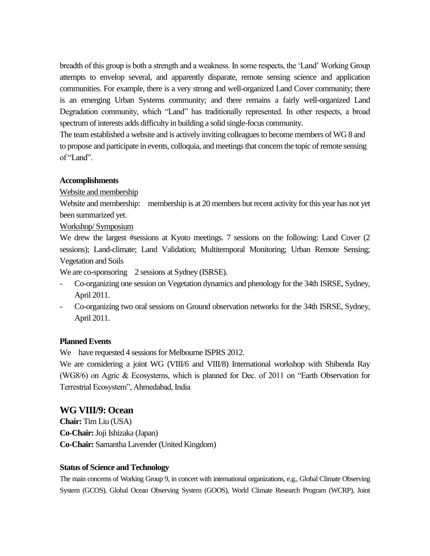breadth of this group is both a strength and a weakness. In some respects, the "Land" Working Group attempts to envelop several, and apparently disparate, remote sensing science and application communities. For example, there is a very strong and well-organized Land Cover community; there is an emerging Urban Systems community; and there remains a fairly well-organized Land Degradation community, which "Land" has traditionally represented. In other respects, a broad spectrum of interests adds difficulty in building a solid single-focus community.

The team established a website and is actively inviting colleagues to become members of WG 8 and to propose and participate in events, colloquia, and meetings that concern the topic of remote sensing of "Land".

#### **Accomplishments**

Website and membership

Website and membership: membership is at 20 members but recent activity for this year has not yet been summarized yet.

Workshop/ Symposium

We drew the largest #sessions at Kyoto meetings. 7 sessions on the following: Land Cover (2 sessions); Land-climate; Land Validation; Multitemporal Monitoring; Urban Remote Sensing; Vegetation and Soils

We are co-sponsoring 2 sessions at Sydney (ISRSE).

- Co-organizing one session on Vegetation dynamics and phenology for the 34th ISRSE, Sydney, April 2011.
- Co-organizing two oral sessions on Ground observation networks for the 34th ISRSE, Sydney, April 2011.

#### **Planned Events**

We have requested 4 sessions for Melbourne ISPRS 2012.

We are considering a joint WG (VIII/6 and VIII/8) International workshop with Shibenda Ray (WG8/6) on Agric & Ecosystems, which is planned for Dec. of 2011 on "Earth Observation for Terrestrial Ecosystem", Ahmedabad, India

## **WG VIII/9: Ocean**

**Chair:** Tim Liu (USA) **Co-Chair:**Joji Ishizaka (Japan) **Co-Chair:** Samantha Lavender (United Kingdom)

#### **Status of Science and Technology**

The main concerns of Working Group 9, in concert with international organizations, e.g., Global Climate Observing System (GCOS), Global Ocean Observing System (GOOS), World Climate Research Program (WCRP), Joint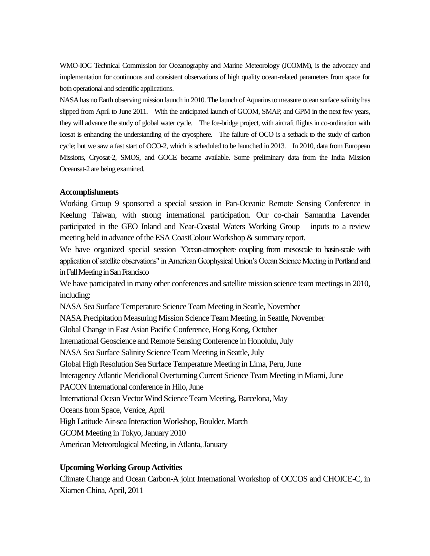WMO-IOC Technical Commission for Oceanography and Marine Meteorology (JCOMM), is the advocacy and implementation for continuous and consistent observations of high quality ocean-related parameters from space for both operational and scientific applications.

NASA has no Earth observing mission launch in 2010. The launch of Aquarius to measure ocean surface salinity has slipped from April to June 2011. With the anticipated launch of GCOM, SMAP, and GPM in the next few years, they will advance the study of global water cycle. The Ice-bridge project, with aircraft flights in co-ordination with Icesat is enhancing the understanding of the cryosphere. The failure of OCO is a setback to the study of carbon cycle; but we saw a fast start of OCO-2, which is scheduled to be launched in 2013. In 2010, data from European Missions, Cryosat-2, SMOS, and GOCE became available. Some preliminary data from the India Mission Oceansat-2 are being examined.

#### **Accomplishments**

Working Group 9 sponsored a special session in Pan-Oceanic Remote Sensing Conference in Keelung Taiwan, with strong international participation. Our co-chair Samantha Lavender participated in the GEO Inland and Near-Coastal Waters Working Group – inputs to a review meeting held in advance of the ESA CoastColour Workshop & summary report.

We have organized special session "Ocean-atmosphere coupling from mesoscale to basin-scale with application of satellite observations" in American Geophysical Union"s Ocean Science Meeting in Portland and in Fall Meeting in San Francisco

We have participated in many other conferences and satellite mission science team meetings in 2010, including:

NASA Sea Surface Temperature Science Team Meeting in Seattle, November

NASA Precipitation Measuring Mission Science Team Meeting, in Seattle, November

Global Change in East Asian Pacific Conference, Hong Kong, October

International Geoscience and Remote Sensing Conference in Honolulu, July

NASA Sea Surface Salinity Science Team Meeting in Seattle, July

Global High Resolution Sea Surface Temperature Meeting in Lima, Peru, June

Interagency Atlantic Meridional Overturning Current Science Team Meeting in Miami, June

PACON International conference in Hilo, June

International Ocean Vector Wind Science Team Meeting, Barcelona, May

Oceans from Space, Venice, April

High Latitude Air-sea Interaction Workshop, Boulder, March

GCOM Meeting in Tokyo, January 2010

American Meteorological Meeting, in Atlanta, January

## **Upcoming Working Group Activities**

Climate Change and Ocean Carbon-A joint International Workshop of OCCOS and CHOICE-C, in Xiamen China, April, 2011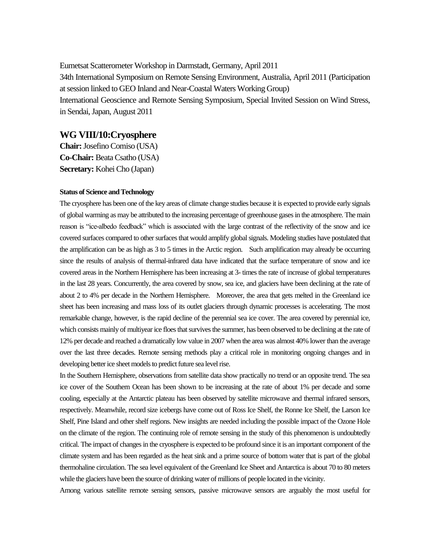Eumetsat Scatterometer Workshop in Darmstadt, Germany, April 2011 34th International Symposium on Remote Sensing Environment, Australia, April 2011 (Participation at session linked to GEO Inland and Near-Coastal Waters Working Group) International Geoscience and Remote Sensing Symposium, Special Invited Session on Wind Stress, in Sendai, Japan, August 2011

#### **WG VIII/10:Cryosphere**

**Chair:**Josefino Comiso (USA) **Co-Chair:** Beata Csatho (USA) **Secretary:** Kohei Cho (Japan)

#### **Status of Science and Technology**

The cryosphere has been one of the key areas of climate change studies because it is expected to provide early signals of global warming as may be attributed to the increasing percentage of greenhouse gases in the atmosphere. The main reason is "ice-albedo feedback" which is associated with the large contrast of the reflectivity of the snow and ice covered surfaces compared to other surfaces that would amplify global signals. Modeling studies have postulated that the amplification can be as high as 3 to 5 times in the Arctic region. Such amplification may already be occurring since the results of analysis of thermal-infrared data have indicated that the surface temperature of snow and ice covered areas in the Northern Hemisphere has been increasing at 3- times the rate of increase of global temperatures in the last 28 years. Concurrently, the area covered by snow, sea ice, and glaciers have been declining at the rate of about 2 to 4% per decade in the Northern Hemisphere. Moreover, the area that gets melted in the Greenland ice sheet has been increasing and mass loss of its outlet glaciers through dynamic processes is accelerating. The most remarkable change, however, is the rapid decline of the perennial sea ice cover. The area covered by perennial ice, which consists mainly of multiyear ice floes that survives the summer, has been observed to be declining at the rate of 12% per decade and reached a dramatically low value in 2007 when the area was almost 40% lower than the average over the last three decades. Remote sensing methods play a critical role in monitoring ongoing changes and in developing better ice sheet models to predict future sea level rise.

In the Southern Hemisphere, observations from satellite data show practically no trend or an opposite trend. The sea ice cover of the Southern Ocean has been shown to be increasing at the rate of about 1% per decade and some cooling, especially at the Antarctic plateau has been observed by satellite microwave and thermal infrared sensors, respectively. Meanwhile, record size icebergs have come out of Ross Ice Shelf, the Ronne Ice Shelf, the Larson Ice Shelf, Pine Island and other shelf regions. New insights are needed including the possible impact of the Ozone Hole on the climate of the region. The continuing role of remote sensing in the study of this phenomenon is undoubtedly critical. The impact of changes in the cryosphere is expected to be profound since it is an important component of the climate system and has been regarded as the heat sink and a prime source of bottom water that is part of the global thermohaline circulation. The sea level equivalent of the Greenland Ice Sheet and Antarctica is about 70 to 80 meters while the glaciers have been the source of drinking water of millions of people located in the vicinity.

Among various satellite remote sensing sensors, passive microwave sensors are arguably the most useful for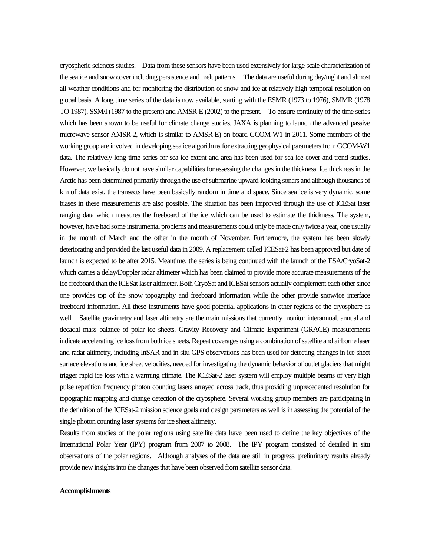cryospheric sciences studies. Data from these sensors have been used extensively for large scale characterization of the sea ice and snow cover including persistence and melt patterns. The data are useful during day/night and almost all weather conditions and for monitoring the distribution of snow and ice at relatively high temporal resolution on global basis. A long time series of the data is now available, starting with the ESMR (1973 to 1976), SMMR (1978 TO 1987), SSM/I (1987 to the present) and AMSR-E (2002) to the present. To ensure continuity of the time series which has been shown to be useful for climate change studies, JAXA is planning to launch the advanced passive microwave sensor AMSR-2, which is similar to AMSR-E) on board GCOM-W1 in 2011. Some members of the working group are involved in developing sea ice algorithms for extracting geophysical parameters from GCOM-W1 data. The relatively long time series for sea ice extent and area has been used for sea ice cover and trend studies. However, we basically do not have similar capabilities for assessing the changes in the thickness. Ice thickness in the Arctic has been determined primarily through the use of submarine upward-looking sonars and although thousands of km of data exist, the transects have been basically random in time and space. Since sea ice is very dynamic, some biases in these measurements are also possible. The situation has been improved through the use of ICESat laser ranging data which measures the freeboard of the ice which can be used to estimate the thickness. The system, however, have had some instrumental problems and measurements could only be made only twice a year, one usually in the month of March and the other in the month of November. Furthermore, the system has been slowly deteriorating and provided the last useful data in 2009. A replacement called ICESat-2 has been approved but date of launch is expected to be after 2015. Meantime, the series is being continued with the launch of the ESA/CryoSat-2 which carries a delay/Doppler radar altimeter which has been claimed to provide more accurate measurements of the ice freeboard than the ICESat laser altimeter. Both CryoSat and ICESat sensors actually complement each other since one provides top of the snow topography and freeboard information while the other provide snow/ice interface freeboard information. All these instruments have good potential applications in other regions of the cryosphere as well. Satellite gravimetry and laser altimetry are the main missions that currently monitor interannual, annual and decadal mass balance of polar ice sheets. Gravity Recovery and Climate Experiment (GRACE) measurements indicate accelerating ice loss from both ice sheets. Repeat coverages using a combination of satellite and airborne laser and radar altimetry, including InSAR and in situ GPS observations has been used for detecting changes in ice sheet surface elevations and ice sheet velocities, needed for investigating the dynamic behavior of outlet glaciers that might trigger rapid ice loss with a warming climate. The ICESat-2 laser system will employ multiple beams of very high pulse repetition frequency photon counting lasers arrayed across track, thus providing unprecedented resolution for topographic mapping and change detection of the cryosphere. Several working group members are participating in the definition of the ICESat-2 mission science goals and design parameters as well is in assessing the potential of the single photon counting laser systems for ice sheet altimetry.

Results from studies of the polar regions using satellite data have been used to define the key objectives of the International Polar Year (IPY) program from 2007 to 2008. The IPY program consisted of detailed in situ observations of the polar regions. Although analyses of the data are still in progress, preliminary results already provide new insights into the changes that have been observed from satellite sensor data.

#### **Accomplishments**